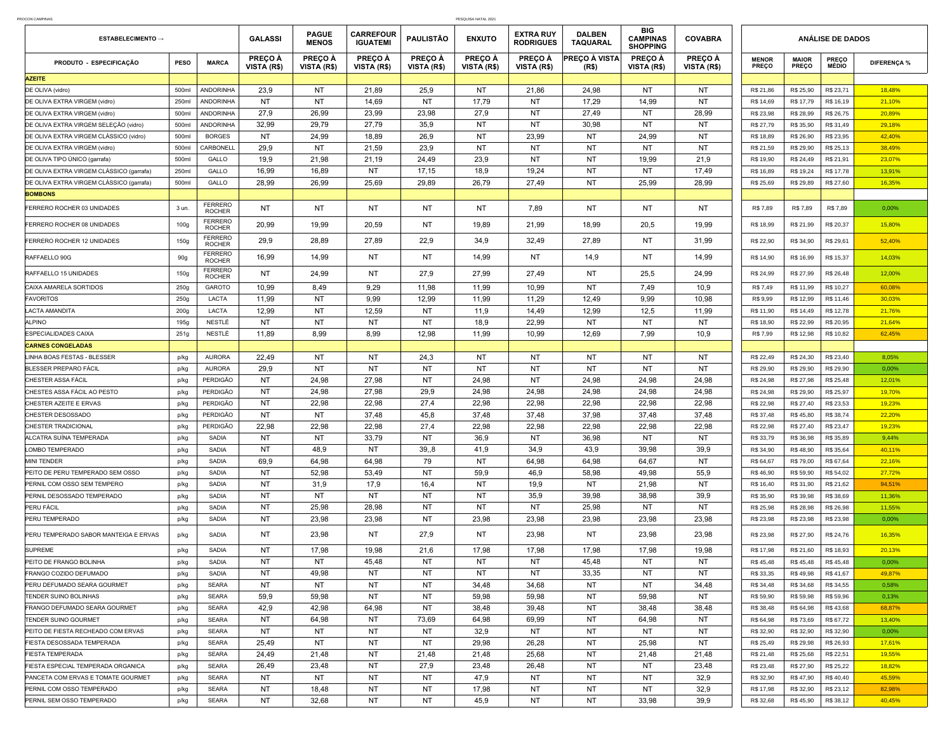| <b>ESTABELECIMENTO →</b>                 |       |                                 | <b>GALASSI</b>                | <b>PAGUE</b><br><b>MENOS</b>  | CARREFOUR<br><b>IGUATEMI</b>  | <b>PAULISTÃO</b>              | <b>ENXUTO</b>                 | <b>EXTRA RUY</b><br><b>RODRIGUES</b> | <b>DALBEN</b><br><b>TAQUARAL</b> | יטום<br><b>CAMPINAS</b><br><b>SHOPPING</b> | <b>COVABRA</b>                |                       | ANÁLISE DE DADOS      |                              |                    |
|------------------------------------------|-------|---------------------------------|-------------------------------|-------------------------------|-------------------------------|-------------------------------|-------------------------------|--------------------------------------|----------------------------------|--------------------------------------------|-------------------------------|-----------------------|-----------------------|------------------------------|--------------------|
| PRODUTO - ESPECIFICAÇÃO                  | PESO  | <b>MARCA</b>                    | <b>PREÇO À</b><br>VISTA (R\$) | <b>PRECO À</b><br>VISTA (R\$) | <b>PREÇO À</b><br>VISTA (R\$) | <b>PRECO À</b><br>VISTA (R\$) | <b>PREÇO À</b><br>VISTA (R\$) | <b>PRECO À</b><br>VISTA (R\$)        | ∣PREÇO À VISTA∣<br>(R\$)         | <b>PRECO À</b><br>VISTA (R\$)              | <b>PRECO À</b><br>VISTA (R\$) | <b>MENOR</b><br>PREÇO | <b>MAIOR</b><br>PREÇO | <b>PRECO</b><br><b>MÉDIO</b> | <b>DIFERENCA %</b> |
| <b>AZEITE</b>                            |       |                                 |                               |                               |                               |                               |                               |                                      |                                  |                                            |                               |                       |                       |                              |                    |
| DE OLIVA (vidro)                         | 500ml | ANDORINHA                       | 23,9                          | NT                            | 21.89                         | 25,9                          | NT                            | 21,86                                | 24,98                            | NT                                         | NT                            | R\$ 21,86             | R\$ 25,90             | R\$ 23,71                    | 18,48%             |
| DE OLIVA EXTRA VIRGEM (vidro)            | 250ml | ANDORINHA                       | NT                            | NT                            | 14,69                         | NT                            | 17,79                         | NT                                   | 17,29                            | 14,99                                      | NT                            | R\$ 14,69             | R\$ 17,79             | R\$ 16,19                    | 21,10%             |
| DE OLIVA EXTRA VIRGEM (vidro)            | 500ml | <b>ANDORINHA</b>                | 27,9                          | 26,99                         | 23,99                         | 23,98                         | 27,9                          | NT                                   | 27,49                            | NT                                         | 28,99                         | R\$ 23,98             | R\$ 28,99             | R\$ 26,75                    | 20,89%             |
| DE OLIVA EXTRA VIRGEM SELEÇÃO (vidro)    | 500ml | ANDORINHA                       | 32,99                         | 29,79                         | 27,79                         | 35,9                          | NT                            | NT                                   | 30,98                            | NT                                         | NT                            | R\$ 27,79             | R\$ 35,90             | R\$ 31,49                    | 29,18%             |
| DE OLIVA EXTRA VIRGEM CLÁSSICO (vidro)   | 500ml | <b>BORGES</b>                   | NT                            | 24,99                         | 18,89                         | 26,9                          | NT                            | 23,99                                | NT                               | 24,99                                      | NT                            | R\$ 18,89             | R\$ 26,90             | R\$ 23,95                    | 42,40%             |
| DE OLIVA EXTRA VIRGEM (vidro)            | 500ml | CARBONELL                       | 29,9                          | NT                            | 21,59                         | 23,9                          | NT                            | <b>NT</b>                            | NT                               | NT                                         | NT                            | R\$ 21,59             | R\$ 29,90             | R\$ 25,13                    | 38,49%             |
| DE OLIVA TIPO ÚNICO (garrafa)            | 500ml | GALLO                           | 19,9                          | 21,98                         | 21,19                         | 24,49                         | 23,9                          | NT                                   | NT                               | 19,99                                      | 21,9                          | R\$ 19,90             | R\$ 24,49             | R\$ 21,91                    | 23,07%             |
| DE OLIVA EXTRA VIRGEM CLÁSSICO (garrafa) | 250ml | GALLO                           | 16,99                         | 16,89                         | <b>NT</b>                     | 17,15                         | 18,9                          | 19,24                                | <b>NT</b>                        | NT                                         | 17,49                         | R\$ 16,89             | R\$ 19,24             | R\$ 17,78                    | 13,91%             |
| DE OLIVA EXTRA VIRGEM CLÁSSICO (garrafa) | 500ml | GALLO                           | 28,99                         | 26,99                         | 25,69                         | 29,89                         | 26,79                         | 27,49                                | NT                               | 25,99                                      | 28,99                         | R\$ 25,69             | R\$ 29,89             | R\$ 27,60                    | 16,35%             |
| <b>BOMBONS</b>                           |       |                                 |                               |                               |                               |                               |                               |                                      |                                  |                                            |                               |                       |                       |                              |                    |
| FERRERO ROCHER 03 UNIDADES               | 3 un. | <b>FERRERO</b><br><b>ROCHER</b> | NT                            | NT                            | <b>NT</b>                     | NT                            | NT                            | 7,89                                 | <b>NT</b>                        | NT                                         | NT                            | R\$ 7,89              | R\$ 7,89              | R\$ 7,89                     | 0,00%              |
| FERRERO ROCHER 08 UNIDADES               | 100g  | <b>FERRERO</b><br><b>ROCHER</b> | 20,99                         | 19,99                         | 20,59                         | NT                            | 19,89                         | 21,99                                | 18,99                            | 20,5                                       | 19,99                         | R\$ 18,99             | R\$ 21,99             | R\$ 20,37                    | 15,80%             |
| FERRERO ROCHER 12 UNIDADES               | 150g  | <b>FERRERO</b><br><b>ROCHER</b> | 29,9                          | 28,89                         | 27,89                         | 22,9                          | 34,9                          | 32,49                                | 27,89                            | NT                                         | 31,99                         | R\$ 22,90             | R\$ 34,90             | R\$ 29,61                    | 52,40%             |
| RAFFAELLO 90G                            | 90g   | <b>FERRERO</b><br><b>ROCHER</b> | 16,99                         | 14,99                         | NT.                           | NT                            | 14,99                         | NT                                   | 14,9                             | NT                                         | 14,99                         | R\$ 14,90             | R\$ 16,99             | R\$ 15,37                    | 14,03%             |
| RAFFAELLO 15 UNIDADES                    | 150g  | <b>FERRERO</b><br><b>ROCHER</b> | NT                            | 24,99                         | NT.                           | 27,9                          | 27,99                         | 27,49                                | NT                               | 25,5                                       | 24,99                         | R\$ 24,99             | R\$ 27,99             | R\$ 26,48                    | 12,00%             |
| CAIXA AMARELA SORTIDOS                   | 250g  | GAROTO                          | 10,99                         | 8,49                          | 9,29                          | 11,98                         | 11,99                         | 10,99                                | NT                               | 7,49                                       | 10,9                          | R\$ 7,49              | R\$ 11,99             | R\$ 10,27                    | 60,08%             |
| <b>FAVORITOS</b>                         | 250g  | LACTA                           | 11,99                         | NT                            | 9,99                          | 12,99                         | 11,99                         | 11,29                                | 12,49                            | 9,99                                       | 10,98                         | R\$ 9,99              | R\$ 12,99             | R\$ 11,46                    | 30,03%             |
| <b>LACTA AMANDITA</b>                    | 200g  | LACTA                           | 12,99                         | NT                            | 12,59                         | NT                            | 11,9                          | 14,49                                | 12,99                            | 12,5                                       | 11,99                         | R\$ 11,90             | R\$ 14,49             | R\$ 12,78                    | 21,76%             |
| ALPINO                                   | 195g  | NESTLÉ                          | NT                            | NT                            | <b>NT</b>                     | NT                            | 18,9                          | 22,99                                | NT                               | NT                                         | NT                            | R\$ 18,90             | R\$ 22,99             | R\$ 20,95                    | 21,64%             |
| ESPECIALIDADES CAIXA                     | 251g  | NESTLÉ                          | 11,89                         | 8,99                          | 8,99                          | 12,98                         | 11,99                         | 10,99                                | 12,69                            | 7,99                                       | 10,9                          | R\$ 7,99              | R\$ 12,98             | R\$ 10,82                    | 62,45%             |
| <b>CARNES CONGELADAS</b>                 |       |                                 |                               |                               |                               |                               |                               |                                      |                                  |                                            |                               |                       |                       |                              |                    |
| LINHA BOAS FESTAS - BLESSER              | p/kg  | <b>AURORA</b>                   | 22,49                         | NT                            | NT.                           | 24,3                          | NT                            | NT                                   | NT                               | NT                                         | <b>NT</b>                     | R\$ 22,49             | R\$ 24,30             | R\$ 23,40                    | 8,05%              |
| BLESSER PREPARO FÁCIL                    | p/kg  | <b>AURORA</b>                   | 29,9                          | NT                            | NT                            | NT                            | NT                            | NT                                   | NT                               | NT                                         | NT                            | R\$ 29,90             | R\$ 29,90             | R\$ 29,90                    | 0,00%              |
| CHESTER ASSA FÁCIL                       | p/kg  | <b>PERDIGÃO</b>                 | NT                            | 24,98                         | 27,98                         | NT                            | 24,98                         | <b>NT</b>                            | 24,98                            | 24,98                                      | 24,98                         | R\$ 24,98             | R\$ 27,98             | R\$ 25,48                    | 12,01%             |
| CHESTES ASSA FÁCIL AO PESTO              | p/kg  | PERDIGÃO                        | NT                            | 24,98                         | 27,98                         | 29,9                          | 24,98                         | 24,98                                | 24,98                            | 24,98                                      | 24,98                         | R\$ 24,98             | R\$ 29,90             | R\$ 25,97                    | 19,70%             |
| CHESTER AZEITE E ERVAS                   | p/kg  | PERDIGÃO                        | NT                            | 22,98                         | 22,98                         | 27,4                          | 22,98                         | 22,98                                | 22,98                            | 22,98                                      | 22,98                         | R\$ 22,98             | R\$ 27,40             | R\$ 23,53                    | 19,23%             |
| CHESTER DESOSSADO                        | p/kg  | PERDIGÃO                        | NT                            | NT                            | 37,48                         | 45,8                          | 37,48                         | 37,48                                | 37,98                            | 37,48                                      | 37,48                         | R\$ 37,48             | R\$45,80              | R\$ 38,74                    | 22,20%             |
| CHESTER TRADICIONAL                      | p/kg  | <b>PERDIGÃO</b>                 | 22,98                         | 22,98                         | 22,98                         | 27,4                          | 22,98                         | 22,98                                | 22,98                            | 22,98                                      | 22,98                         | R\$ 22,98             | R\$ 27,40             | R\$ 23,47                    | 19,23%             |
| ALCATRA SUİNA TEMPERADA                  | p/kg  | SADIA                           | NT                            | NT                            | 33,79                         | NT                            | 36,9                          | <b>NT</b>                            | 36,98                            | NT                                         | NT                            | R\$ 33,79             | R\$ 36,98             | R\$ 35,89                    | 9,44%              |
| LOMBO TEMPERADO                          | p/kg  | SADIA                           | NT                            | 48,9                          | NT                            | 39, .8                        | 41,9                          | 34,9                                 | 43,9                             | 39,98                                      | 39,9                          | R\$ 34,90             | R\$48,90              | R\$ 35,64                    | 40,11%             |
| MINI TENDER                              | p/kg  | SADIA                           | 69,9                          | 64,98                         | 64,98                         | 79                            | NT                            | 64,98                                | 64,98                            | 64,67                                      | NT                            | R\$ 64,67             | R\$79,00              | R\$ 67,64                    | 22,16%             |
| PEITO DE PERU TEMPERADO SEM OSSO         | p/kg  | SADIA                           | NT                            | 52,98                         | 53,49                         | NT                            | 59,9                          | 46,9                                 | 58,98                            | 49,98                                      | 55,9                          | R\$46,90              | R\$59,90              | R\$ 54,02                    | 27,72%             |
| PERNIL COM OSSO SEM TEMPERO              | p/kg  | SADIA                           | <b>NT</b>                     | 31,9                          | 17,9                          | 16,4                          | NT                            | 19,9                                 | NT                               | 21,98                                      | NT                            | R\$ 16,40             | R\$ 31,90             | R\$ 21,62                    | 94,51%             |
| PERNIL DESOSSADO TEMPERADO               | p/kg  | SADIA                           | NT                            | NT                            | NT                            | NT                            | NT                            | 35,9                                 | 39,98                            | 38,98                                      | 39,9                          | R\$ 35,90             | R\$ 39,98             | R\$ 38,69                    | 11,36%             |
| PERU FÁCIL                               | p/kg  | SADIA                           | NT                            | 25,98                         | 28,98                         | NT                            | NT                            | NT                                   | 25,98                            | NT                                         | NT                            | R\$ 25,98             | R\$ 28,98             | R\$ 26,98                    | 11,55%             |
| PERU TEMPERADO                           | p/kg  | SADIA                           | NT                            | 23,98                         | 23,98                         | NT                            | 23,98                         | 23,98                                | 23,98                            | 23,98                                      | 23,98                         | R\$ 23,98             | R\$ 23,98             | R\$ 23,98                    | 0,00%              |
| PERU TEMPERADO SABOR MANTEIGA E ERVAS    | p/kg  | SADIA                           | <b>NT</b>                     | 23,98                         | <b>NT</b>                     | 27,9                          | NT                            | 23,98                                | NT                               | 23,98                                      | 23,98                         | R\$ 23,98             | R\$ 27,90             | R\$ 24,76                    | 16,35%             |
| SUPREME                                  | p/kg  | SADIA                           | NT                            | 17,98                         | 19,98                         | 21,6                          | 17,98                         | 17,98                                | 17,98                            | 17,98                                      | 19,98                         | R\$ 17,98             | R\$ 21,60             | R\$ 18,93                    | 20,13%             |
| PEITO DE FRANGO BOLINHA                  | p/kg  | SADIA                           | NT                            | <b>NT</b>                     | 45,48                         | <b>NT</b>                     | NT                            | <b>NT</b>                            | 45,48                            | <b>NT</b>                                  | NT                            | R\$45,48              | R\$45,48              | R\$45,48                     | 0,00%              |
| FRANGO COZIDO DEFUMADO                   | p/kg  | SADIA                           | ΝT                            | 49,98                         | ΝT                            | ΝT                            | NT                            | NT                                   | 33,35                            | NT                                         | NT                            | R\$ 33,35             | R\$49,98              | R\$41,67                     | 49,87%             |
| PERU DEFUMADO SEARA GOURMET              | p/kg  | <b>SEARA</b>                    | NT                            | NT                            | NT                            | NT                            | 34,48                         | 34,68                                | NT                               | NT                                         | 34,48                         | R\$ 34,48             | R\$ 34,68             | R\$ 34,55                    | 0,58%              |
| TENDER SUINO BOLINHAS                    | p/kg  | <b>SEARA</b>                    | 59,9                          | 59,98                         | NT                            | NT                            | 59,98                         | 59,98                                | NT                               | 59,98                                      | NT                            | R\$ 59,90             | R\$59,98              | R\$ 59,96                    | 0,13%              |
| FRANGO DEFUMADO SEARA GOURMET            | p/kg  | <b>SEARA</b>                    | 42,9                          | 42,98                         | 64,98                         | NT                            | 38,48                         | 39,48                                | NT                               | 38,48                                      | 38,48                         | R\$ 38,48             | R\$ 64,98             | R\$43,68                     | 68,87%             |
| TENDER SUINO GOURMET                     | p/kg  | <b>SEARA</b>                    | NT                            | 64,98                         | NT                            | 73,69                         | 64,98                         | 69,99                                | NT                               | 64,98                                      | NT                            | R\$ 64,98             | R\$73,69              | R\$ 67,72                    | 13,40%             |
| PEITO DE FIESTA RECHEADO COM ERVAS       | p/kg  | SEARA                           | NT                            | NT                            | NT                            | NT                            | 32,9                          | NT                                   | NT                               | NT                                         | NT                            | R\$ 32,90             | R\$ 32,90             | R\$ 32,90                    | 0,00%              |
| FIESTA DESOSSADA TEMPERADA               | p/kg  | <b>SEARA</b>                    | 25,49                         | NT                            | NT                            | NT                            | 29,98                         | 26,28                                | NT                               | 25,98                                      | NT                            | R\$ 25,49             | R\$ 29,98             | R\$ 26,93                    | 17,61%             |
| FIESTA TEMPERADA                         | p/kg  | SEARA                           | 24,49                         | 21,48                         | NT                            | 21,48                         | 21,48                         | 25,68                                | NT                               | 21,48                                      | 21,48                         | R\$ 21,48             | R\$ 25,68             | R\$ 22,51                    | 19,55%             |
| FIESTA ESPECIAL TEMPERADA ORGANICA       | p/kg  | <b>SEARA</b>                    | 26,49                         | 23,48                         | NT                            | 27,9                          | 23,48                         | 26,48                                | NT                               | NT                                         | 23,48                         | R\$ 23,48             | R\$ 27,90             | R\$ 25,22                    | 18,82%             |
| PANCETA COM ERVAS E TOMATE GOURMET       | p/kg  | <b>SEARA</b>                    | NT                            | NT                            | NT                            | NT                            | 47,9                          | NT                                   | NT                               | NT                                         | 32,9                          | R\$ 32,90             | R\$47,90              | R\$40,40                     | 45,59%             |
|                                          |       |                                 |                               |                               |                               |                               |                               |                                      |                                  |                                            |                               |                       |                       |                              |                    |

**BIG** 

PERNIL COM OSSO TEMPERADO | p/kg | SEARA | NT | 18,48 | NT | NT | 17,98 | NT | NT | NT | 32,9 ||R\$ 17,98 |R\$ 23,12 <mark>| 82,98%</mark> PERNIL SEM OSSO TEMPERADO p/kg SEARA NT 32,68 NT NT 45,9 NT NT 33,98 39,9 R\$ 32,68 R\$ 45,90 R\$ 38,12 40,45%

PROCON CAMPINAS PESQUISA NATAL 2021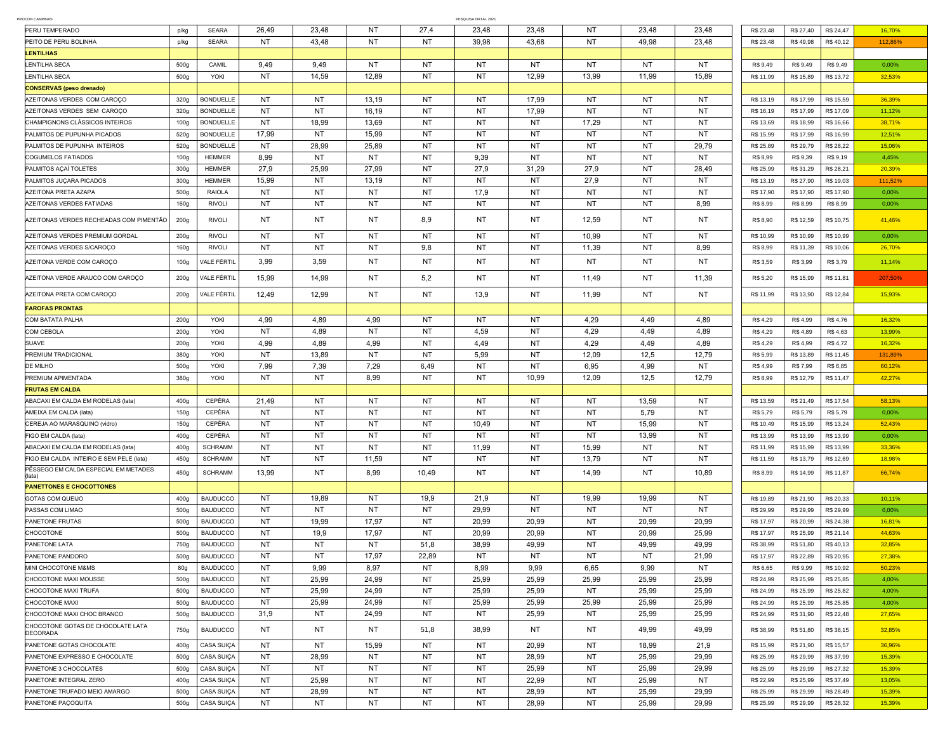| PROCON CAMPINAS                                      |                  |                  |           |           |           |           | PESQUISA NATAL 202 |           |           |           |           |           |           |           |         |
|------------------------------------------------------|------------------|------------------|-----------|-----------|-----------|-----------|--------------------|-----------|-----------|-----------|-----------|-----------|-----------|-----------|---------|
| PERU TEMPERADO                                       | p/kg             | <b>SEARA</b>     | 26,49     | 23,48     | NT        | 27,4      | 23,48              | 23,48     | NT        | 23,48     | 23,48     | R\$ 23,48 | R\$ 27,40 | R\$ 24,47 | 16,70%  |
| PEITO DE PERU BOLINHA                                | p/kg             | <b>SEARA</b>     | NT        | 43,48     | NT        | <b>NT</b> | 39,98              | 43,68     | <b>NT</b> | 49,98     | 23,48     | R\$ 23,48 | R\$49,98  | R\$40,12  | 112,86% |
| <b>LENTILHAS</b>                                     |                  |                  |           |           |           |           |                    |           |           |           |           |           |           |           |         |
| LENTILHA SECA                                        | 500g             | CAMIL            | 9,49      | 9,49      | NT        | NT        | NT                 | NT        | NT        | NT        | NT        | R\$ 9,49  | R\$ 9,49  | R\$ 9,49  | 0,00%   |
| LENTILHA SECA                                        | 500g             | YOKI             | <b>NT</b> | 14,59     | 12,89     | NT        | NT                 | 12,99     | 13,99     | 11,99     | 15,89     | R\$ 11,99 | R\$ 15,89 | R\$ 13,72 | 32,53%  |
| <b>CONSERVAS (peso drenado)</b>                      |                  |                  |           |           |           |           |                    |           |           |           |           |           |           |           |         |
| AZEITONAS VERDES COM CAROÇO                          | 320g             | <b>BONDUELLE</b> | NT        | NT        | 13,19     | NT        | NT                 | 17,99     | NT        | NT        | NT        | R\$ 13,19 | R\$ 17,99 | R\$ 15,59 | 36,39%  |
| AZEITONAS VERDES SEM CAROÇO                          | 320g             | <b>BONDUELLE</b> | <b>NT</b> | <b>NT</b> | 16,19     | <b>NT</b> | NT                 | 17,99     | <b>NT</b> | <b>NT</b> | NT        | R\$ 16,19 | R\$ 17,99 | R\$ 17,09 | 11,12%  |
| CHAMPIGNONS CLÁSSICOS INTEIROS                       | 100g             | <b>BONDUELLE</b> | <b>NT</b> | 18,99     | 13,69     | NT        | NT                 | NT        | 17,29     | <b>NT</b> | NT        | R\$ 13,69 | R\$ 18,99 | R\$ 16,66 | 38,71%  |
| PALMITOS DE PUPUNHA PICADOS                          | 520g             | <b>BONDUELLE</b> | 17,99     | NT        | 15,99     | NT        | NT                 | NT        | NT        | <b>NT</b> | NT        | R\$ 15,99 | R\$ 17,99 | R\$ 16,99 | 12,51%  |
| PALMITOS DE PUPUNHA INTEIROS                         | 520g             | <b>BONDUELLE</b> | NT        | 28,99     | 25,89     | <b>NT</b> | NT                 | <b>NT</b> | <b>NT</b> | <b>NT</b> | 29,79     | R\$ 25,89 | R\$ 29,79 | R\$ 28,22 | 15,06%  |
| <b>COGUMELOS FATIADOS</b>                            | 100g             | <b>HEMMER</b>    | 8,99      | NT        | NT        | NT        | 9,39               | NT        | NT        | <b>NT</b> | NT        | R\$ 8,99  | R\$ 9,39  | R\$ 9,19  | 4,45%   |
| PALMITOS AÇAÍ TOLETES                                | 300g             | <b>HEMMER</b>    | 27,9      | 25,99     | 27,99     | <b>NT</b> | 27,9               | 31,29     | 27,9      | <b>NT</b> | 28,49     | R\$ 25,99 | R\$ 31,29 | R\$ 28,21 | 20,39%  |
| PALMITOS JUCARA PICADOS                              | 300g             | <b>HEMMER</b>    | 15,99     | NT        | 13,19     | NT        | NT                 | NT        | 27,9      | <b>NT</b> | NT        | R\$ 13,19 | R\$ 27,90 | R\$ 19,03 | 111,52% |
| AZEITONA PRETA AZAPA                                 | 500g             | RAIOLA           | NT        | NT        | NT        | NT        | 17,9               | NT        | NT        | <b>NT</b> | NT        | R\$ 17,90 | R\$ 17,90 | R\$ 17,90 | 0,00%   |
| AZEITONAS VERDES FATIADAS                            | 160g             | <b>RIVOLI</b>    | NT        | NT        | NT        | NT        | NT                 | NT        | NT        | <b>NT</b> | 8,99      | R\$ 8,99  | R\$ 8,99  | R\$ 8,99  | 0,00%   |
| AZEITONAS VERDES RECHEADAS COM PIMENTÃO              | 200 <sub>q</sub> | <b>RIVOLI</b>    | <b>NT</b> | <b>NT</b> | NT        | 8,9       | NT                 | NT        | 12,59     | <b>NT</b> | NT        | R\$8,90   | R\$ 12,59 | R\$ 10,75 | 41,46%  |
| AZEITONAS VERDES PREMIUM GORDAL                      | 200g             | <b>RIVOLI</b>    | NT        | NT        | NT        | NT        | NT                 | NT        | 10,99     | <b>NT</b> | NT        | R\$ 10,99 | R\$ 10,99 | R\$ 10,99 | 0,00%   |
| AZEITONAS VERDES S/CAROÇO                            | 160g             | <b>RIVOLI</b>    | NT        | <b>NT</b> | NT        | 9,8       | NT                 | NT        | 11,39     | <b>NT</b> | 8,99      | R\$ 8,99  | R\$ 11,39 | R\$ 10,06 | 26,70%  |
| AZEITONA VERDE COM CAROÇO                            | 100g             | VALE FÉRTIL      | 3,99      | 3,59      | NT        | NT        | NT                 | NT        | NT        | <b>NT</b> | NT        | R\$ 3,59  | R\$ 3,99  | R\$ 3,79  | 11,14%  |
| AZEITONA VERDE ARAUCO COM CAROÇO                     | 200g             | VALE FÉRTIL      | 15,99     | 14,99     | NT        | 5,2       | NT                 | NT        | 11,49     | NT        | 11,39     | R\$ 5,20  | R\$ 15,99 | R\$ 11,81 | 207,50% |
| AZEITONA PRETA COM CAROÇO                            | 200g             | VALE FÉRTIL      | 12,49     | 12,99     | NT        | NT        | 13,9               | NT        | 11,99     | <b>NT</b> | NT        | R\$ 11,99 | R\$ 13,90 | R\$ 12,84 | 15,93%  |
| <b>FAROFAS PRONTAS</b>                               |                  |                  |           |           |           |           |                    |           |           |           |           |           |           |           |         |
| COM BATATA PALHA                                     | 200g             | <b>YOKI</b>      | 4,99      | 4,89      | 4,99      | NT        | NT                 | NT        | 4,29      | 4,49      | 4,89      | R\$4,29   | R\$4,99   | R\$4,76   | 16,32%  |
| COM CEBOLA                                           | 200g             | YOKI             | <b>NT</b> | 4,89      | NT        | NT        | 4,59               | NT        | 4,29      | 4,49      | 4,89      | R\$4,29   | R\$4,89   | R\$4,63   | 13,99%  |
| <b>SUAVE</b>                                         | 200g             | YOKI             | 4,99      | 4,89      | 4,99      | NT        | 4,49               | NT        | 4,29      | 4,49      | 4,89      | R\$4,29   | R\$4,99   | R\$ 4,72  | 16,32%  |
| <b>PREMIUM TRADICIONAL</b>                           | 380g             | YOKI             | NT        | 13,89     | NT        | NT        | 5,99               | NT        | 12,09     | 12,5      | 12,79     | R\$ 5,99  | R\$ 13,89 | R\$ 11,45 | 131,89% |
| <b>DE MILHO</b>                                      | 500g             | YOKI             | 7,99      | 7,39      | 7,29      | 6,49      | NT                 | NT        | 6,95      | 4,99      | NT        | R\$4,99   | R\$ 7,99  | R\$ 6,85  | 60,12%  |
| PREMIUM APIMENTADA                                   | 380g             | <b>YOKI</b>      | <b>NT</b> | <b>NT</b> | 8,99      | NT        | NT                 | 10,99     | 12,09     | 12,5      | 12,79     | R\$ 8,99  | R\$ 12,79 | R\$ 11,47 | 42,27%  |
| <b>FRUTAS EM CALDA</b>                               |                  |                  |           |           |           |           |                    |           |           |           |           |           |           |           |         |
| ABACAXI EM CALDA EM RODELAS (lata)                   | 400g             | CEPÊRA           | 21,49     | NT        | NT        | NT        | NT                 | NT        | NT        | 13,59     | NT        | R\$ 13,59 | R\$ 21,49 | R\$ 17,54 | 58,13%  |
| AMEIXA EM CALDA (lata)                               | 150g             | CEPÊRA           | <b>NT</b> | NT        | NT        | NT        | NT                 | NT        | NT        | 5,79      | NT        | R\$ 5,79  | R\$ 5,79  | R\$ 5,79  | 0,00%   |
| CEREJA AO MARASQUINO (vidro)                         | 150g             | CEPÊRA           | NT        | NT        | NT        | NT        | 10,49              | NT        | NT        | 15,99     | NT        | R\$ 10,49 | R\$ 15,99 | R\$ 13,24 | 52,43%  |
| FIGO EM CALDA (lata)                                 | 400g             | CEPÊRA           | <b>NT</b> | <b>NT</b> | <b>NT</b> | NT        | NT                 | <b>NT</b> | <b>NT</b> | 13,99     | NT        | R\$ 13,99 | R\$ 13,99 | R\$ 13,99 | 0,00%   |
| ABACAXI EM CALDA EM RODELAS (lata)                   | 400g             | <b>SCHRAMM</b>   | NT        | NT        | NT        | NT        | 11,99              | NT        | 15,99     | NT        | NT        | R\$ 11,99 | R\$ 15,99 | R\$ 13,99 | 33,36%  |
| FIGO EM CALDA INTEIRO E SEM PELE (lata)              | 450g             | SCHRAMM          | NT        | NT        | 11,59     | NT        | NT                 | NT        | 13,79     | NT        | NT        | R\$ 11,59 | R\$ 13,79 | R\$ 12,69 | 18,98%  |
| PÊSSEGO EM CALDA ESPECIAL EM METADES<br>(lata)       | 450g             | <b>SCHRAMM</b>   | 13,99     | <b>NT</b> | 8,99      | 10,49     | NT                 | NT        | 14,99     | <b>NT</b> | 10,89     | R\$ 8,99  | R\$ 14,99 | R\$ 11,87 | 66,74%  |
| <b>PANETTONES E CHOCOTTONES</b>                      |                  |                  |           |           |           |           |                    |           |           |           |           |           |           |           |         |
| GOTAS COM QUEIJO                                     | 400g             | <b>BAUDUCCO</b>  | NT        | 19,89     | NT        | 19,9      | 21,9               | NT        | 19,99     | 19,99     | NT        | R\$ 19,89 | R\$ 21,90 | R\$ 20,33 | 10,11%  |
| PASSAS COM LIMAO                                     | 500g             | <b>BAUDUCCO</b>  | <b>NT</b> | NT        | NT        | <b>NT</b> | 29,99              | NT        | NT        | NT        | <b>NT</b> | R\$ 29,99 | R\$ 29,99 | R\$ 29,99 | 0,00%   |
| PANETONE FRUTAS                                      | 500g             | <b>BAUDUCCO</b>  | NT        | 19,99     | 17,97     | NT        | 20,99              | 20,99     | NT        | 20,99     | 20,99     | R\$ 17,97 | R\$ 20,99 | R\$ 24,38 | 16,81%  |
| CHOCOTONE                                            | 500g             | <b>BAUDUCCO</b>  | <b>NT</b> | 19,9      | 17,97     | NT        | 20,99              | 20,99     | NT        | 20,99     | 25,99     | R\$ 17,97 | R\$ 25,99 | R\$ 21,14 | 44,63%  |
| PANETONE LATA                                        | 750g             | <b>BAUDUCCO</b>  | <b>NT</b> | <b>NT</b> | NT        | 51,8      | 38,99              | 49,99     | NT        | 49,99     | 49,99     | R\$ 38,99 | R\$ 51,80 | R\$40,13  | 32,85%  |
| PANETONE PANDORO                                     | 500g             | <b>BAUDUCCO</b>  | <b>NT</b> | NT        | 17,97     | 22,89     | NT                 | NT        | NT        | <b>NT</b> | 21,99     | R\$ 17,97 | R\$ 22,89 | R\$ 20,95 | 27,38%  |
| MINI CHOCOTONE M&MS                                  | 80g              | <b>BAUDUCCO</b>  | NT        | 9,99      | 8,97      | ΝT        | 8,99               | 9,99      | 6,65      | 9,99      | NT        | R\$ 6,65  | R\$ 9,99  | R\$ 10,92 | 50,23%  |
| CHOCOTONE MAXI MOUSSE                                | 500g             | <b>BAUDUCCO</b>  | <b>NT</b> | 25,99     | 24,99     | NT        | 25,99              | 25,99     | 25,99     | 25,99     | 25,99     | R\$ 24,99 | R\$ 25,99 | R\$ 25,85 | 4,00%   |
| CHOCOTONE MAXI TRUFA                                 | 500g             | <b>BAUDUCCO</b>  | <b>NT</b> | 25,99     | 24,99     | NT        | 25,99              | 25,99     | NT        | 25,99     | 25,99     | R\$ 24,99 | R\$ 25,99 | R\$ 25,82 | 4,00%   |
| CHOCOTONE MAXI                                       | 500g             | <b>BAUDUCCO</b>  | NT        | 25,99     | 24,99     | ΝT        | 25,99              | 25,99     | 25,99     | 25,99     | 25,99     | R\$ 24,99 | R\$ 25,99 | R\$ 25,85 | 4,00%   |
| CHOCOTONE MAXI CHOC BRANCO                           | 500g             | <b>BAUDUCCO</b>  | 31,9      | NT        | 24,99     | ΝT        | NT                 | 25,99     | NT        | 25,99     | 25,99     | R\$ 24,99 | R\$ 31,90 | R\$ 22,48 | 27,65%  |
| CHOCOTONE GOTAS DE CHOCOLATE LATA<br><b>DECORADA</b> | 750g             | <b>BAUDUCCO</b>  | NT        | <b>NT</b> | NT        | 51,8      | 38,99              | NT        | NT        | 49,99     | 49,99     | R\$ 38,99 | R\$ 51,80 | R\$ 38,15 | 32,85%  |
| PANETONE GOTAS CHOCOLATE                             | 400g             | CASA SUIÇA       | <b>NT</b> | NT        | 15,99     | NT        | NT                 | 20,99     | NT        | 18,99     | 21,9      | R\$ 15,99 | R\$ 21,90 | R\$ 15,57 | 36,96%  |
| PANETONE EXPRESSO E CHOCOLATE                        | 500g             | CASA SUIÇA       | NT        | 28,99     | NT        | NT        | NT                 | 28,99     | NT        | 25,99     | 29,99     | R\$ 25,99 | R\$ 29,99 | R\$ 37,99 | 15,39%  |
| PANETONE 3 CHOCOLATES                                | 500g             | CASA SUIÇA       | NT        | NT        | NT        | NT        | NT                 | 25,99     | NT        | 25,99     | 29,99     | R\$ 25,99 | R\$ 29,99 | R\$ 27,32 | 15,39%  |
| PANETONE INTEGRAL ZERO                               | 400g             | CASA SUIÇA       | NT        | 25,99     | NT        | NT        | NT                 | 22,99     | NT        | 25,99     | NT        | R\$ 22,99 | R\$ 25,99 | R\$ 37,49 | 13,05%  |
| PANETONE TRUFADO MEIO AMARGO                         | 500g             | CASA SUIÇA       | <b>NT</b> | 28,99     | NT        | NT        | NT                 | 28,99     | NT        | 25,99     | 29,99     | R\$ 25,99 | R\$ 29,99 | R\$ 28,49 | 15,39%  |
| PANETONE PAÇOQUITA                                   | 500g             | CASA SUIÇA       | NT        | NT        | NT        | NT        | NT                 | 28,99     | NT        | 25,99     | 29,99     | R\$ 25,99 | R\$ 29,99 | R\$ 28,32 | 15,39%  |